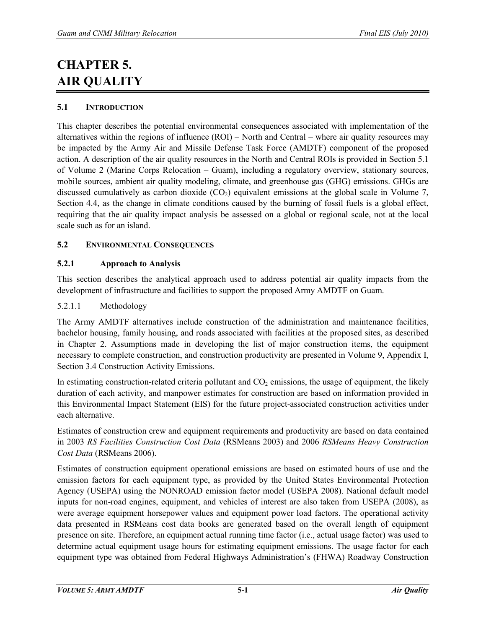# **CHAPTER 5. AIR QUALITY**

# **5.1 INTRODUCTION**

This chapter describes the potential environmental consequences associated with implementation of the alternatives within the regions of influence (ROI) – North and Central – where air quality resources may be impacted by the Army Air and Missile Defense Task Force (AMDTF) component of the proposed action. A description of the air quality resources in the North and Central ROIs is provided in Section 5.1 of Volume 2 (Marine Corps Relocation – Guam), including a regulatory overview, stationary sources, mobile sources, ambient air quality modeling, climate, and greenhouse gas (GHG) emissions. GHGs are discussed cumulatively as carbon dioxide  $(CO<sub>2</sub>)$  equivalent emissions at the global scale in Volume 7, Section 4.4, as the change in climate conditions caused by the burning of fossil fuels is a global effect, requiring that the air quality impact analysis be assessed on a global or regional scale, not at the local scale such as for an island.

# **5.2 ENVIRONMENTAL CONSEQUENCES**

## **5.2.1 Approach to Analysis**

This section describes the analytical approach used to address potential air quality impacts from the development of infrastructure and facilities to support the proposed Army AMDTF on Guam.

## <span id="page-0-0"></span>5.2.1.1 Methodology

The Army AMDTF alternatives include construction of the administration and maintenance facilities, bachelor housing, family housing, and roads associated with facilities at the proposed sites, as described in Chapter 2. Assumptions made in developing the list of major construction items, the equipment necessary to complete construction, and construction productivity are presented in Volume 9, Appendix I, Section 3.4 Construction Activity Emissions.

In estimating construction-related criteria pollutant and  $CO<sub>2</sub>$  emissions, the usage of equipment, the likely duration of each activity, and manpower estimates for construction are based on information provided in this Environmental Impact Statement (EIS) for the future project-associated construction activities under each alternative.

Estimates of construction crew and equipment requirements and productivity are based on data contained in 2003 *RS Facilities Construction Cost Data* (RSMeans 2003) and 2006 *RSMeans Heavy Construction Cost Data* (RSMeans 2006).

Estimates of construction equipment operational emissions are based on estimated hours of use and the emission factors for each equipment type, as provided by the United States Environmental Protection Agency (USEPA) using the NONROAD emission factor model (USEPA 2008). National default model inputs for non-road engines, equipment, and vehicles of interest are also taken from USEPA (2008), as were average equipment horsepower values and equipment power load factors. The operational activity data presented in RSMeans cost data books are generated based on the overall length of equipment presence on site. Therefore, an equipment actual running time factor (i.e., actual usage factor) was used to determine actual equipment usage hours for estimating equipment emissions. The usage factor for each equipment type was obtained from Federal Highways Administration's (FHWA) Roadway Construction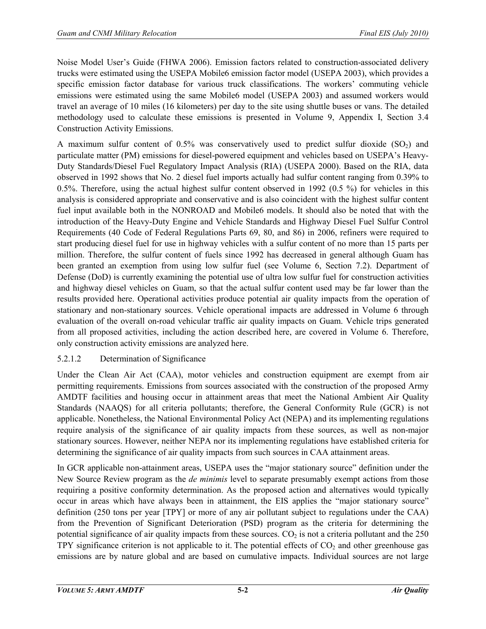Noise Model User's Guide (FHWA 2006). Emission factors related to construction-associated delivery trucks were estimated using the USEPA Mobile6 emission factor model (USEPA 2003), which provides a specific emission factor database for various truck classifications. The workers' commuting vehicle emissions were estimated using the same Mobile6 model (USEPA 2003) and assumed workers would travel an average of 10 miles (16 kilometers) per day to the site using shuttle buses or vans. The detailed methodology used to calculate these emissions is presented in Volume 9, Appendix I, Section 3.4 Construction Activity Emissions.

A maximum sulfur content of  $0.5\%$  was conservatively used to predict sulfur dioxide  $(SO<sub>2</sub>)$  and particulate matter (PM) emissions for diesel-powered equipment and vehicles based on USEPA's Heavy-Duty Standards/Diesel Fuel Regulatory Impact Analysis (RIA) (USEPA 2000). Based on the RIA, data observed in 1992 shows that No. 2 diesel fuel imports actually had sulfur content ranging from 0.39% to 0.5%. Therefore, using the actual highest sulfur content observed in 1992 (0.5 %) for vehicles in this analysis is considered appropriate and conservative and is also coincident with the highest sulfur content fuel input available both in the NONROAD and Mobile6 models. It should also be noted that with the introduction of the Heavy-Duty Engine and Vehicle Standards and Highway Diesel Fuel Sulfur Control Requirements (40 Code of Federal Regulations Parts 69, 80, and 86) in 2006, refiners were required to start producing diesel fuel for use in highway vehicles with a sulfur content of no more than 15 parts per million. Therefore, the sulfur content of fuels since 1992 has decreased in general although Guam has been granted an exemption from using low sulfur fuel (see Volume 6, Section 7.2). Department of Defense (DoD) is currently examining the potential use of ultra low sulfur fuel for construction activities and highway diesel vehicles on Guam, so that the actual sulfur content used may be far lower than the results provided here. Operational activities produce potential air quality impacts from the operation of stationary and non-stationary sources. Vehicle operational impacts are addressed in Volume 6 through evaluation of the overall on-road vehicular traffic air quality impacts on Guam. Vehicle trips generated from all proposed activities, including the action described here, are covered in Volume 6. Therefore, only construction activity emissions are analyzed here.

# 5.2.1.2 Determination of Significance

Under the Clean Air Act (CAA), motor vehicles and construction equipment are exempt from air permitting requirements. Emissions from sources associated with the construction of the proposed Army AMDTF facilities and housing occur in attainment areas that meet the National Ambient Air Quality Standards (NAAQS) for all criteria pollutants; therefore, the General Conformity Rule (GCR) is not applicable. Nonetheless, the National Environmental Policy Act (NEPA) and its implementing regulations require analysis of the significance of air quality impacts from these sources, as well as non-major stationary sources. However, neither NEPA nor its implementing regulations have established criteria for determining the significance of air quality impacts from such sources in CAA attainment areas.

In GCR applicable non-attainment areas, USEPA uses the "major stationary source" definition under the New Source Review program as the *de minimis* level to separate presumably exempt actions from those requiring a positive conformity determination. As the proposed action and alternatives would typically occur in areas which have always been in attainment, the EIS applies the "major stationary source" definition (250 tons per year [TPY] or more of any air pollutant subject to regulations under the CAA) from the Prevention of Significant Deterioration (PSD) program as the criteria for determining the potential significance of air quality impacts from these sources.  $CO<sub>2</sub>$  is not a criteria pollutant and the 250 TPY significance criterion is not applicable to it. The potential effects of  $CO<sub>2</sub>$  and other greenhouse gas emissions are by nature global and are based on cumulative impacts. Individual sources are not large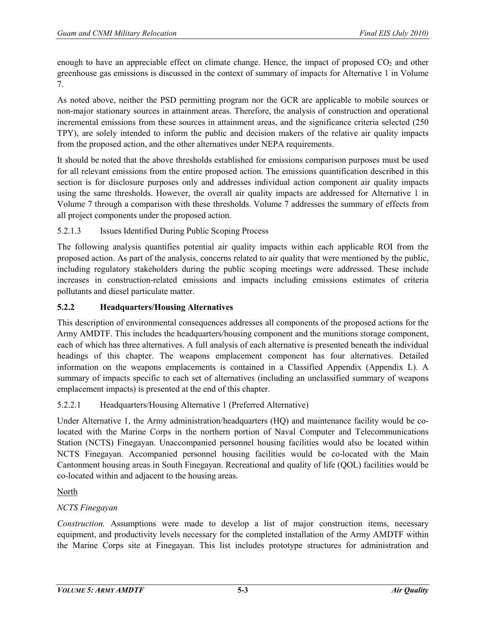enough to have an appreciable effect on climate change. Hence, the impact of proposed  $CO<sub>2</sub>$  and other greenhouse gas emissions is discussed in the context of summary of impacts for Alternative 1 in Volume 7.

As noted above, neither the PSD permitting program nor the GCR are applicable to mobile sources or non-major stationary sources in attainment areas. Therefore, the analysis of construction and operational incremental emissions from these sources in attainment areas, and the significance criteria selected (250 TPY), are solely intended to inform the public and decision makers of the relative air quality impacts from the proposed action, and the other alternatives under NEPA requirements.

It should be noted that the above thresholds established for emissions comparison purposes must be used for all relevant emissions from the entire proposed action. The emissions quantification described in this section is for disclosure purposes only and addresses individual action component air quality impacts using the same thresholds. However, the overall air quality impacts are addressed for Alternative 1 in Volume 7 through a comparison with these thresholds. Volume 7 addresses the summary of effects from all project components under the proposed action.

# 5.2.1.3 Issues Identified During Public Scoping Process

The following analysis quantifies potential air quality impacts within each applicable ROI from the proposed action. As part of the analysis, concerns related to air quality that were mentioned by the public, including regulatory stakeholders during the public scoping meetings were addressed. These include increases in construction-related emissions and impacts including emissions estimates of criteria pollutants and diesel particulate matter.

# **5.2.2 Headquarters/Housing Alternatives**

This description of environmental consequences addresses all components of the proposed actions for the Army AMDTF. This includes the headquarters/housing component and the munitions storage component, each of which has three alternatives. A full analysis of each alternative is presented beneath the individual headings of this chapter. The weapons emplacement component has four alternatives. Detailed information on the weapons emplacements is contained in a Classified Appendix (Appendix L). A summary of impacts specific to each set of alternatives (including an unclassified summary of weapons emplacement impacts) is presented at the end of this chapter.

# 5.2.2.1 Headquarters/Housing Alternative 1 (Preferred Alternative)

Under Alternative 1, the Army administration/headquarters (HQ) and maintenance facility would be colocated with the Marine Corps in the northern portion of Naval Computer and Telecommunications Station (NCTS) Finegayan. Unaccompanied personnel housing facilities would also be located within NCTS Finegayan. Accompanied personnel housing facilities would be co-located with the Main Cantonment housing areas in South Finegayan. Recreational and quality of life (QOL) facilities would be co-located within and adjacent to the housing areas.

# North

# *NCTS Finegayan*

*Construction.* Assumptions were made to develop a list of major construction items, necessary equipment, and productivity levels necessary for the completed installation of the Army AMDTF within the Marine Corps site at Finegayan. This list includes prototype structures for administration and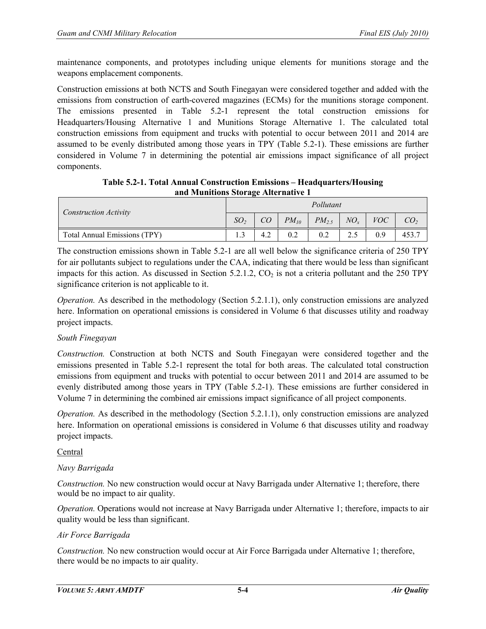maintenance components, and prototypes including unique elements for munitions storage and the weapons emplacement components.

Construction emissions at both NCTS and South Finegayan were considered together and added with the emissions from construction of earth-covered magazines (ECMs) for the munitions storage component. The emissions presented in Table 5.2-1 represent the total construction emissions for Headquarters/Housing Alternative 1 and Munitions Storage Alternative 1. The calculated total construction emissions from equipment and trucks with potential to occur between 2011 and 2014 are assumed to be evenly distributed among those years in TPY (Table 5.2-1). These emissions are further considered in Volume 7 in determining the potential air emissions impact significance of all project components.

**Table 5.2-1. Total Annual Construction Emissions – Headquarters/Housing and Munitions Storage Alternative 1**

| Construction Activity        |                 |           | Pollutant  |          |            |      |
|------------------------------|-----------------|-----------|------------|----------|------------|------|
|                              | SO <sub>2</sub> | $PM_{10}$ | $PM_{2.5}$ | $NO_{r}$ | <i>VOC</i> |      |
| Total Annual Emissions (TPY) |                 |           |            | 2.5      | 0.9        | 453. |

The construction emissions shown in Table 5.2-1 are all well below the significance criteria of 250 TPY for air pollutants subject to regulations under the CAA, indicating that there would be less than significant impacts for this action. As discussed in Section 5.2.1.2,  $CO<sub>2</sub>$  is not a criteria pollutant and the 250 TPY significance criterion is not applicable to it.

*Operation.* As described in the methodology (Section 5.2.1.1), only construction emissions are analyzed here. Information on operational emissions is considered in Volume 6 that discusses utility and roadway project impacts.

### *South Finegayan*

*Construction.* Construction at both NCTS and South Finegayan were considered together and the emissions presented in Table 5.2-1 represent the total for both areas. The calculated total construction emissions from equipment and trucks with potential to occur between 2011 and 2014 are assumed to be evenly distributed among those years in TPY (Table 5.2-1). These emissions are further considered in Volume 7 in determining the combined air emissions impact significance of all project components.

*Operation.* As described in the methodology (Section 5.2.1.1), only construction emissions are analyzed here. Information on operational emissions is considered in Volume 6 that discusses utility and roadway project impacts.

### Central

# *Navy Barrigada*

*Construction.* No new construction would occur at Navy Barrigada under Alternative 1; therefore, there would be no impact to air quality.

*Operation.* Operations would not increase at Navy Barrigada under Alternative 1; therefore, impacts to air quality would be less than significant.

### *Air Force Barrigada*

*Construction.* No new construction would occur at Air Force Barrigada under Alternative 1; therefore, there would be no impacts to air quality.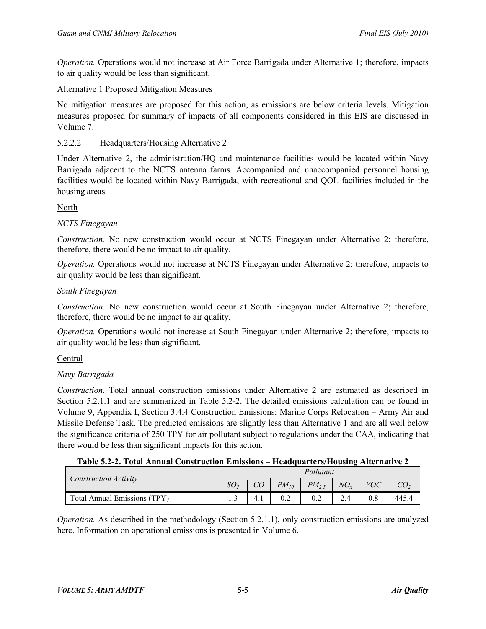*Operation.* Operations would not increase at Air Force Barrigada under Alternative 1; therefore, impacts to air quality would be less than significant.

### Alternative 1 Proposed Mitigation Measures

No mitigation measures are proposed for this action, as emissions are below criteria levels. Mitigation measures proposed for summary of impacts of all components considered in this EIS are discussed in Volume 7.

## 5.2.2.2 Headquarters/Housing Alternative 2

Under Alternative 2, the administration/HQ and maintenance facilities would be located within Navy Barrigada adjacent to the NCTS antenna farms. Accompanied and unaccompanied personnel housing facilities would be located within Navy Barrigada, with recreational and QOL facilities included in the housing areas.

North

### *NCTS Finegayan*

*Construction.* No new construction would occur at NCTS Finegayan under Alternative 2; therefore, therefore, there would be no impact to air quality.

*Operation.* Operations would not increase at NCTS Finegayan under Alternative 2; therefore, impacts to air quality would be less than significant.

### *South Finegayan*

*Construction.* No new construction would occur at South Finegayan under Alternative 2; therefore, therefore, there would be no impact to air quality.

*Operation.* Operations would not increase at South Finegayan under Alternative 2; therefore, impacts to air quality would be less than significant.

### Central

# *Navy Barrigada*

*Construction.* Total annual construction emissions under Alternative 2 are estimated as described in Section 5.2.1.1 and are summarized in Table 5.2-2. The detailed emissions calculation can be found in Volume 9, Appendix I, Section 3.4.4 Construction Emissions: Marine Corps Relocation – Army Air and Missile Defense Task. The predicted emissions are slightly less than Alternative 1 and are all well below the significance criteria of 250 TPY for air pollutant subject to regulations under the CAA, indicating that there would be less than significant impacts for this action.

### **Table 5.2-2. Total Annual Construction Emissions – Headquarters/Housing Alternative 2**

|                              |                 |           | Pollutant  |        |            |       |
|------------------------------|-----------------|-----------|------------|--------|------------|-------|
| Construction Activity        | SO <sub>2</sub> | $PM_{10}$ | $PM_{2.5}$ | $NO_r$ | <i>VOC</i> |       |
| Total Annual Emissions (TPY) | ر…              |           |            |        |            | 445.4 |

*Operation.* As described in the methodology (Section 5.2.1.1), only construction emissions are analyzed here. Information on operational emissions is presented in Volume 6.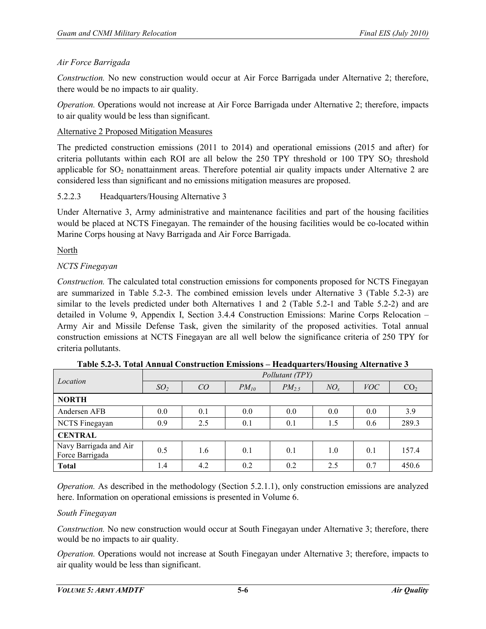# *Air Force Barrigada*

*Construction.* No new construction would occur at Air Force Barrigada under Alternative 2; therefore, there would be no impacts to air quality.

*Operation.* Operations would not increase at Air Force Barrigada under Alternative 2; therefore, impacts to air quality would be less than significant.

## Alternative 2 Proposed Mitigation Measures

The predicted construction emissions (2011 to 2014) and operational emissions (2015 and after) for criteria pollutants within each ROI are all below the  $250$  TPY threshold or 100 TPY SO<sub>2</sub> threshold applicable for  $SO_2$  nonattainment areas. Therefore potential air quality impacts under Alternative 2 are considered less than significant and no emissions mitigation measures are proposed.

## 5.2.2.3 Headquarters/Housing Alternative 3

Under Alternative 3, Army administrative and maintenance facilities and part of the housing facilities would be placed at NCTS Finegayan. The remainder of the housing facilities would be co-located within Marine Corps housing at Navy Barrigada and Air Force Barrigada.

North

# *NCTS Finegayan*

*Construction.* The calculated total construction emissions for components proposed for NCTS Finegayan are summarized in Table 5.2-3. The combined emission levels under Alternative 3 (Table 5.2-3) are similar to the levels predicted under both Alternatives 1 and 2 (Table 5.2-1 and Table 5.2-2) and are detailed in Volume 9, Appendix I, Section 3.4.4 Construction Emissions: Marine Corps Relocation – Army Air and Missile Defense Task, given the similarity of the proposed activities. Total annual construction emissions at NCTS Finegayan are all well below the significance criteria of 250 TPY for criteria pollutants.

| Location                                  |                 |     |           | Pollutant (TPY) |          |            |                 |
|-------------------------------------------|-----------------|-----|-----------|-----------------|----------|------------|-----------------|
|                                           | SO <sub>2</sub> | CO  | $PM_{10}$ | $PM_2$          | $NO_{r}$ | <i>VOC</i> | CO <sub>2</sub> |
| <b>NORTH</b>                              |                 |     |           |                 |          |            |                 |
| Andersen AFB                              | 0.0             | 0.1 | 0.0       | 0.0             | 0.0      | 0.0        | 3.9             |
| NCTS Finegayan                            | 0.9             | 2.5 | 0.1       | 0.1             | 1.5      | 0.6        | 289.3           |
| <b>CENTRAL</b>                            |                 |     |           |                 |          |            |                 |
| Navy Barrigada and Air<br>Force Barrigada | 0.5             | 1.6 | 0.1       | 0.1             | 1.0      | 0.1        | 157.4           |
| <b>Total</b>                              | 1.4             | 4.2 | 0.2       | 0.2             | 2.5      | 0.7        | 450.6           |

**Table 5.2-3. Total Annual Construction Emissions – Headquarters/Housing Alternative 3**

*Operation.* As described in the methodology (Section 5.2.1.1), only construction emissions are analyzed here. Information on operational emissions is presented in Volume 6.

### *South Finegayan*

*Construction.* No new construction would occur at South Finegayan under Alternative 3; therefore, there would be no impacts to air quality.

*Operation.* Operations would not increase at South Finegayan under Alternative 3; therefore, impacts to air quality would be less than significant.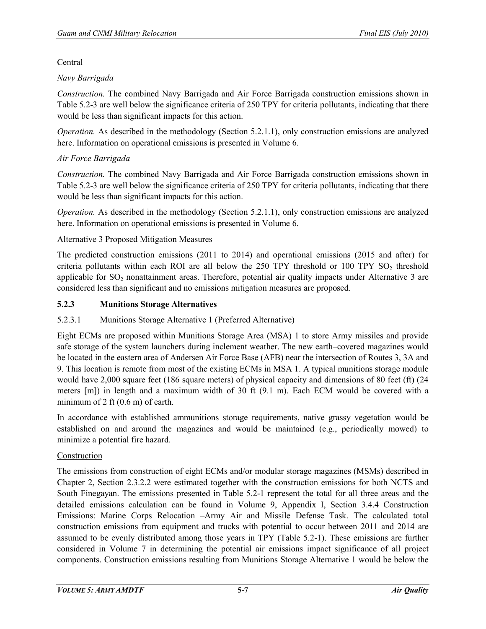## **Central**

# *Navy Barrigada*

*Construction.* The combined Navy Barrigada and Air Force Barrigada construction emissions shown in Table 5.2-3 are well below the significance criteria of 250 TPY for criteria pollutants, indicating that there would be less than significant impacts for this action.

*Operation.* As described in the methodology (Section 5.2.1.1), only construction emissions are analyzed here. Information on operational emissions is presented in Volume 6.

# *Air Force Barrigada*

*Construction.* The combined Navy Barrigada and Air Force Barrigada construction emissions shown in Table 5.2-3 are well below the significance criteria of 250 TPY for criteria pollutants, indicating that there would be less than significant impacts for this action.

*Operation.* As described in the methodology (Section 5.2.1.1), only construction emissions are analyzed here. Information on operational emissions is presented in Volume 6.

## Alternative 3 Proposed Mitigation Measures

The predicted construction emissions (2011 to 2014) and operational emissions (2015 and after) for criteria pollutants within each ROI are all below the  $250$  TPY threshold or 100 TPY SO<sub>2</sub> threshold applicable for  $SO<sub>2</sub>$  nonattainment areas. Therefore, potential air quality impacts under Alternative 3 are considered less than significant and no emissions mitigation measures are proposed.

# **5.2.3 Munitions Storage Alternatives**

# 5.2.3.1 Munitions Storage Alternative 1 (Preferred Alternative)

Eight ECMs are proposed within Munitions Storage Area (MSA) 1 to store Army missiles and provide safe storage of the system launchers during inclement weather. The new earth–covered magazines would be located in the eastern area of Andersen Air Force Base (AFB) near the intersection of Routes 3, 3A and 9. This location is remote from most of the existing ECMs in MSA 1. A typical munitions storage module would have 2,000 square feet (186 square meters) of physical capacity and dimensions of 80 feet (ft) (24 meters [m]) in length and a maximum width of 30 ft (9.1 m). Each ECM would be covered with a minimum of 2 ft (0.6 m) of earth.

In accordance with established ammunitions storage requirements, native grassy vegetation would be established on and around the magazines and would be maintained (e.g., periodically mowed) to minimize a potential fire hazard.

### Construction

The emissions from construction of eight ECMs and/or modular storage magazines (MSMs) described in Chapter 2, Section 2.3.2.2 were estimated together with the construction emissions for both NCTS and South Finegayan. The emissions presented in Table 5.2-1 represent the total for all three areas and the detailed emissions calculation can be found in Volume 9, Appendix I, Section 3.4.4 Construction Emissions: Marine Corps Relocation –Army Air and Missile Defense Task. The calculated total construction emissions from equipment and trucks with potential to occur between 2011 and 2014 are assumed to be evenly distributed among those years in TPY (Table 5.2-1). These emissions are further considered in Volume 7 in determining the potential air emissions impact significance of all project components. Construction emissions resulting from Munitions Storage Alternative 1 would be below the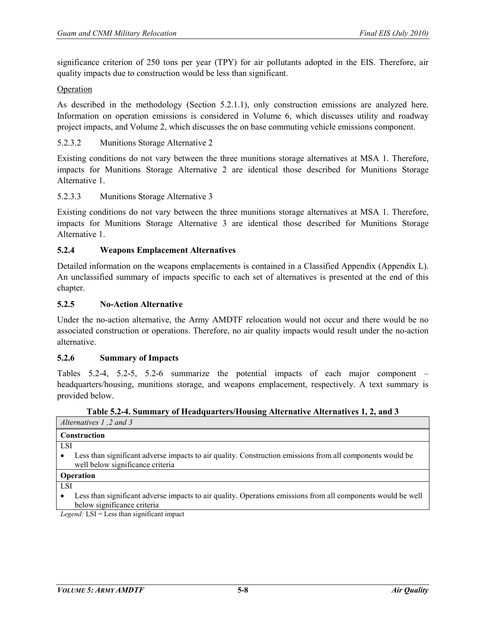significance criterion of 250 tons per year (TPY) for air pollutants adopted in the EIS. Therefore, air quality impacts due to construction would be less than significant.

#### Operation

As described in the methodology (Section [5.2.1.1\)](#page-0-0), only construction emissions are analyzed here. Information on operation emissions is considered in Volume 6, which discusses utility and roadway project impacts, and Volume 2, which discusses the on base commuting vehicle emissions component.

#### 5.2.3.2 Munitions Storage Alternative 2

Existing conditions do not vary between the three munitions storage alternatives at MSA 1. Therefore, impacts for Munitions Storage Alternative 2 are identical those described for Munitions Storage Alternative 1.

#### 5.2.3.3 Munitions Storage Alternative 3

Existing conditions do not vary between the three munitions storage alternatives at MSA 1. Therefore, impacts for Munitions Storage Alternative 3 are identical those described for Munitions Storage Alternative 1.

#### **5.2.4 Weapons Emplacement Alternatives**

Detailed information on the weapons emplacements is contained in a Classified Appendix (Appendix L). An unclassified summary of impacts specific to each set of alternatives is presented at the end of this chapter.

#### **5.2.5 No-Action Alternative**

Under the no-action alternative, the Army AMDTF relocation would not occur and there would be no associated construction or operations. Therefore, no air quality impacts would result under the no-action alternative.

#### **5.2.6 Summary of Impacts**

Tables 5.2-4, 5.2-5, 5.2-6 summarize the potential impacts of each major component – headquarters/housing, munitions storage, and weapons emplacement, respectively. A text summary is provided below.

**Table 5.2-4. Summary of Headquarters/Housing Alternative Alternatives 1, 2, and 3**

| Alternatives 1,2 and 3                                                                                                                                     |
|------------------------------------------------------------------------------------------------------------------------------------------------------------|
| Construction                                                                                                                                               |
| LSI                                                                                                                                                        |
| Less than significant adverse impacts to air quality. Construction emissions from all components would be<br>$\bullet$<br>well below significance criteria |
| <b>Operation</b>                                                                                                                                           |
| LSI                                                                                                                                                        |
| Less than significant adverse impacts to air quality. Operations emissions from all components would be well                                               |

impacts to air quality. Operations emissions from all components would be well below significance criteria

*Legend:* LSI = Less than significant impact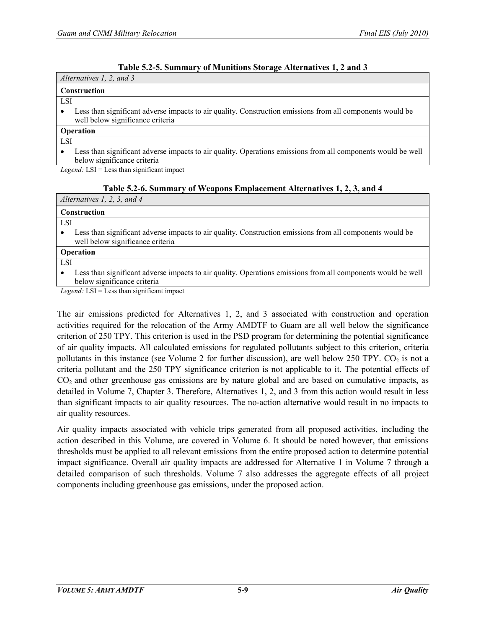| Table 5.2-5. Summary of Munitions Storage Alternatives 1, 2 and 3 |
|-------------------------------------------------------------------|
|-------------------------------------------------------------------|

| Alternatives 1, 2, and 3                                                                                                                      |
|-----------------------------------------------------------------------------------------------------------------------------------------------|
| <b>Construction</b>                                                                                                                           |
| <b>LSI</b>                                                                                                                                    |
| Less than significant adverse impacts to air quality. Construction emissions from all components would be<br>well below significance criteria |
| <b>Operation</b>                                                                                                                              |
| <b>LSI</b>                                                                                                                                    |
| Less than significant adverse impacts to air quality. Operations emissions from all components would be well                                  |

erse impacts to air quality. Operations emissions from all components w below significance criteria

*Legend:* LSI = Less than significant impact

| Table 5.2-6. Summary of Weapons Emplacement Alternatives 1, 2, 3, and 4 |
|-------------------------------------------------------------------------|
|-------------------------------------------------------------------------|

| <b>Construction</b><br><b>LSI</b><br>Less than significant adverse impacts to air quality. Construction emissions from all components would be<br>well below significance criteria<br>Operation |  |
|-------------------------------------------------------------------------------------------------------------------------------------------------------------------------------------------------|--|
|                                                                                                                                                                                                 |  |
|                                                                                                                                                                                                 |  |
|                                                                                                                                                                                                 |  |
|                                                                                                                                                                                                 |  |
| <b>LSI</b>                                                                                                                                                                                      |  |
| Less than significant adverse impacts to air quality. Operations emissions from all components would be well<br>below significance criteria                                                     |  |

*Legend:* LSI = Less than significant impact

The air emissions predicted for Alternatives 1, 2, and 3 associated with construction and operation activities required for the relocation of the Army AMDTF to Guam are all well below the significance criterion of 250 TPY. This criterion is used in the PSD program for determining the potential significance of air quality impacts. All calculated emissions for regulated pollutants subject to this criterion, criteria pollutants in this instance (see Volume 2 for further discussion), are well below 250 TPY.  $CO<sub>2</sub>$  is not a criteria pollutant and the 250 TPY significance criterion is not applicable to it. The potential effects of  $CO<sub>2</sub>$  and other greenhouse gas emissions are by nature global and are based on cumulative impacts, as detailed in Volume 7, Chapter 3. Therefore, Alternatives 1, 2, and 3 from this action would result in less than significant impacts to air quality resources. The no-action alternative would result in no impacts to air quality resources.

Air quality impacts associated with vehicle trips generated from all proposed activities, including the action described in this Volume, are covered in Volume 6. It should be noted however, that emissions thresholds must be applied to all relevant emissions from the entire proposed action to determine potential impact significance. Overall air quality impacts are addressed for Alternative 1 in Volume 7 through a detailed comparison of such thresholds. Volume 7 also addresses the aggregate effects of all project components including greenhouse gas emissions, under the proposed action.